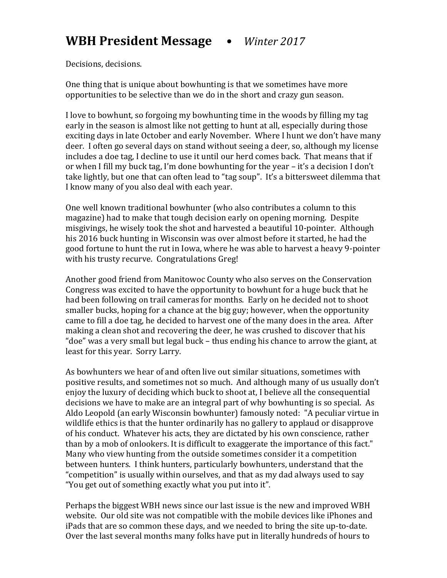Decisions, decisions.

One thing that is unique about bowhunting is that we sometimes have more opportunities to be selective than we do in the short and crazy gun season.

I love to bowhunt, so forgoing my bowhunting time in the woods by filling my tag early in the season is almost like not getting to hunt at all, especially during those exciting days in late October and early November. Where I hunt we don't have many deer. I often go several days on stand without seeing a deer, so, although my license includes a doe tag, I decline to use it until our herd comes back. That means that if or when I fill my buck tag, I'm done bowhunting for the year  $-$  it's a decision I don't take lightly, but one that can often lead to "tag soup". It's a bittersweet dilemma that I know many of you also deal with each year.

One well known traditional bowhunter (who also contributes a column to this magazine) had to make that tough decision early on opening morning. Despite misgivings, he wisely took the shot and harvested a beautiful 10-pointer. Although his 2016 buck hunting in Wisconsin was over almost before it started, he had the good fortune to hunt the rut in Iowa, where he was able to harvest a heavy 9-pointer with his trusty recurve. Congratulations Greg!

Another good friend from Manitowoc County who also serves on the Conservation Congress was excited to have the opportunity to bowhunt for a huge buck that he had been following on trail cameras for months. Early on he decided not to shoot smaller bucks, hoping for a chance at the big guy; however, when the opportunity came to fill a doe tag, he decided to harvest one of the many does in the area. After making a clean shot and recovering the deer, he was crushed to discover that his "doe" was a very small but legal buck – thus ending his chance to arrow the giant, at least for this year. Sorry Larry.

As bowhunters we hear of and often live out similar situations, sometimes with positive results, and sometimes not so much. And although many of us usually don't enjoy the luxury of deciding which buck to shoot at, I believe all the consequential decisions we have to make are an integral part of why bowhunting is so special. As Aldo Leopold (an early Wisconsin bowhunter) famously noted: "A peculiar virtue in wildlife ethics is that the hunter ordinarily has no gallery to applaud or disapprove of his conduct. Whatever his acts, they are dictated by his own conscience, rather than by a mob of onlookers. It is difficult to exaggerate the importance of this fact." Many who view hunting from the outside sometimes consider it a competition between hunters. I think hunters, particularly bowhunters, understand that the "competition" is usually within ourselves, and that as my dad always used to say "You get out of something exactly what you put into it".

Perhaps the biggest WBH news since our last issue is the new and improved WBH website. Our old site was not compatible with the mobile devices like iPhones and iPads that are so common these days, and we needed to bring the site up-to-date. Over the last several months many folks have put in literally hundreds of hours to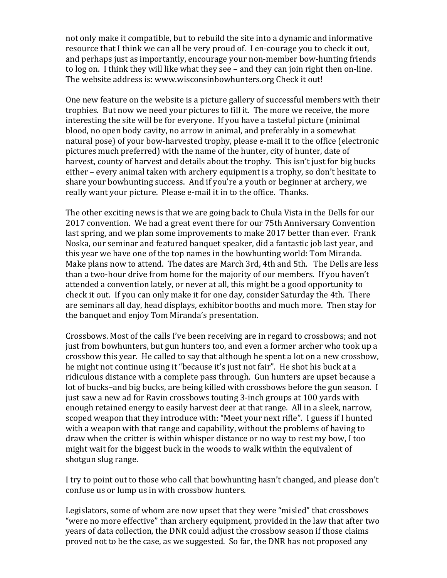not only make it compatible, but to rebuild the site into a dynamic and informative resource that I think we can all be very proud of. I en-courage you to check it out, and perhaps just as importantly, encourage your non-member bow-hunting friends to log on. I think they will like what they see – and they can join right then on-line. The website address is: www.wisconsinbowhunters.org Check it out!

One new feature on the website is a picture gallery of successful members with their trophies. But now we need your pictures to fill it. The more we receive, the more interesting the site will be for everyone. If you have a tasteful picture (minimal blood, no open body cavity, no arrow in animal, and preferably in a somewhat natural pose) of your bow-harvested trophy, please e-mail it to the office (electronic pictures much preferred) with the name of the hunter, city of hunter, date of harvest, county of harvest and details about the trophy. This isn't just for big bucks either – every animal taken with archery equipment is a trophy, so don't hesitate to share your bowhunting success. And if you're a youth or beginner at archery, we really want your picture. Please e-mail it in to the office. Thanks.

The other exciting news is that we are going back to Chula Vista in the Dells for our 2017 convention. We had a great event there for our 75th Anniversary Convention last spring, and we plan some improvements to make 2017 better than ever. Frank Noska, our seminar and featured banquet speaker, did a fantastic job last year, and this year we have one of the top names in the bowhunting world: Tom Miranda. Make plans now to attend. The dates are March 3rd, 4th and 5th. The Dells are less than a two-hour drive from home for the majority of our members. If you haven't attended a convention lately, or never at all, this might be a good opportunity to check it out. If you can only make it for one day, consider Saturday the 4th. There are seminars all day, head displays, exhibitor booths and much more. Then stay for the banquet and enjoy Tom Miranda's presentation.

Crossbows. Most of the calls I've been receiving are in regard to crossbows; and not just from bowhunters, but gun hunters too, and even a former archer who took up a crossbow this year. He called to say that although he spent a lot on a new crossbow, he might not continue using it "because it's just not fair". He shot his buck at a ridiculous distance with a complete pass through. Gun hunters are upset because a lot of bucks-and big bucks, are being killed with crossbows before the gun season. I just saw a new ad for Ravin crossbows touting 3-inch groups at 100 yards with enough retained energy to easily harvest deer at that range. All in a sleek, narrow, scoped weapon that they introduce with: "Meet your next rifle". I guess if I hunted with a weapon with that range and capability, without the problems of having to draw when the critter is within whisper distance or no way to rest my bow, I too might wait for the biggest buck in the woods to walk within the equivalent of shotgun slug range.

I try to point out to those who call that bowhunting hasn't changed, and please don't confuse us or lump us in with crossbow hunters.

Legislators, some of whom are now upset that they were "misled" that crossbows "were no more effective" than archery equipment, provided in the law that after two years of data collection, the DNR could adjust the crossbow season if those claims proved not to be the case, as we suggested. So far, the DNR has not proposed any